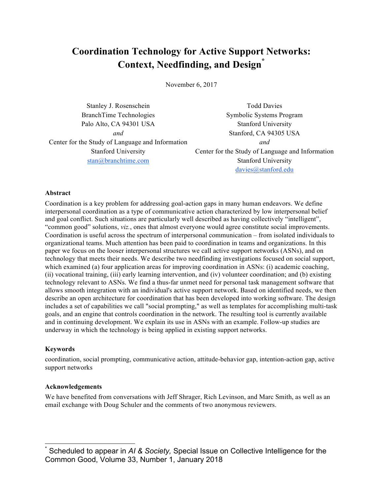# **Coordination Technology for Active Support Networks: Context, Needfinding, and Design\***

November 6, 2017

Stanley J. Rosenschein BranchTime Technologies Palo Alto, CA 94301 USA *and* Center for the Study of Language and Information Stanford University stan@branchtime.com

Todd Davies Symbolic Systems Program Stanford University Stanford, CA 94305 USA *and* Center for the Study of Language and Information Stanford University davies@stanford.edu

#### **Abstract**

Coordination is a key problem for addressing goal-action gaps in many human endeavors. We define interpersonal coordination as a type of communicative action characterized by low interpersonal belief and goal conflict. Such situations are particularly well described as having collectively "intelligent", "common good" solutions, *viz.*, ones that almost everyone would agree constitute social improvements. Coordination is useful across the spectrum of interpersonal communication – from isolated individuals to organizational teams. Much attention has been paid to coordination in teams and organizations. In this paper we focus on the looser interpersonal structures we call active support networks (ASNs), and on technology that meets their needs. We describe two needfinding investigations focused on social support, which examined (a) four application areas for improving coordination in ASNs: (i) academic coaching, (ii) vocational training, (iii) early learning intervention, and (iv) volunteer coordination; and (b) existing technology relevant to ASNs. We find a thus-far unmet need for personal task management software that allows smooth integration with an individual's active support network. Based on identified needs, we then describe an open architecture for coordination that has been developed into working software. The design includes a set of capabilities we call "social prompting," as well as templates for accomplishing multi-task goals, and an engine that controls coordination in the network. The resulting tool is currently available and in continuing development. We explain its use in ASNs with an example. Follow-up studies are underway in which the technology is being applied in existing support networks.

#### **Keywords**

coordination, social prompting, communicative action, attitude-behavior gap, intention-action gap, active support networks

#### **Acknowledgements**

We have benefited from conversations with Jeff Shrager, Rich Levinson, and Marc Smith, as well as an email exchange with Doug Schuler and the comments of two anonymous reviewers.

Scheduled to appear in *AI & Society*, Special Issue on Collective Intelligence for the Common Good, Volume 33, Number 1, January 2018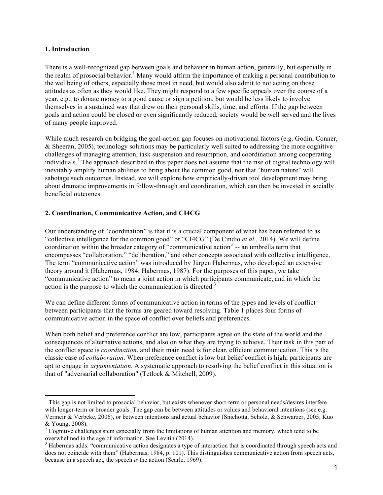#### **1. Introduction**

There is a well-recognized gap between goals and behavior in human action, generally, but especially in the realm of prosocial behavior. <sup>1</sup> Many would affirm the importance of making a personal contribution to the wellbeing of others, especially those most in need, but would also admit to not acting on those attitudes as often as they would like. They might respond to a few specific appeals over the course of a year, e.g., to donate money to a good cause or sign a petition, but would be less likely to involve themselves in a sustained way that drew on their personal skills, time, and efforts. If the gap between goals and action could be closed or even significantly reduced, society would be well served and the lives of many people improved.

While much research on bridging the goal-action gap focuses on motivational factors (e.g. Godin, Conner, & Sheeran, 2005), technology solutions may be particularly well suited to addressing the more cognitive challenges of managing attention, task suspension and resumption, and coordination among cooperating individuals. <sup>2</sup> The approach described in this paper does not assume that the rise of digital technology will inevitably amplify human abilities to bring about the common good, nor that "human nature" will sabotage such outcomes. Instead, we will explore how empirically-driven tool development may bring about dramatic improvements in follow-through and coordination, which can then be invested in socially beneficial outcomes.

#### **2. Coordination, Communicative Action, and CI4CG**

Our understanding of "coordination" is that it is a crucial component of what has been referred to as "collective intelligence for the common good" or "CI4CG" (De Cindio *et al.*, 2014). We will define coordination within the broader category of "communicative action" -- an umbrella term that encompasses "collaboration," "deliberation," and other concepts associated with collective intelligence. The term "communicative action" was introduced by Jürgen Habermas, who developed an extensive theory around it (Habermas, 1984; Habermas, 1987). For the purposes of this paper, we take "communicative action" to mean a joint action in which participants communicate, and in which the action is the purpose to which the communication is directed.<sup>3</sup>

We can define different forms of communicative action in terms of the types and levels of conflict between participants that the forms are geared toward resolving. Table 1 places four forms of communicative action in the space of conflict over beliefs and preferences.

When both belief and preference conflict are low, participants agree on the state of the world and the consequences of alternative actions, and also on what they are trying to achieve. Their task in this part of the conflict space is *coordination*, and their main need is for clear, efficient communication. This is the classic case of *collaboration*. When preference conflict is low but belief conflict is high, participants are apt to engage in *argumentation*. A systematic approach to resolving the belief conflict in this situation is that of "adversarial collaboration" (Tetlock & Mitchell, 2009).

 $<sup>1</sup>$  This gap is not limited to prosocial behavior, but exists whenever short-term or personal needs/desires interfere</sup> with longer-term or broader goals. The gap can be between attitudes or values and behavioral intentions (see e.g. Vermeir & Verbeke, 2006), or between intentions and actual behavior (Sniehotta, Scholz, & Schwarzer, 2005; Kuo & Young, 2008).

<sup>&</sup>lt;sup>2</sup> Cognitive challenges stem especially from the limitations of human attention and memory, which tend to be overwhelmed in the age of information. See Levitin (2014).

<sup>&</sup>lt;sup>3</sup> Habermas adds: "communicative action designates a type of interaction that is coordinated through speech acts and does not coincide with them" (Habermas, 1984, p. 101). This distinguishes communicative action from speech acts, because in a speech act, the speech *is* the action (Searle, 1969).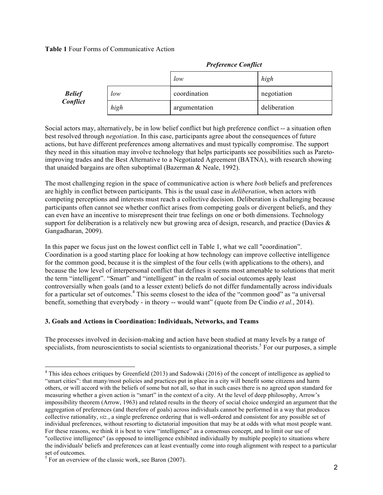**Table 1** Four Forms of Communicative Action

|                           | <i>Prejerence Confuci</i> |               |              |  |  |
|---------------------------|---------------------------|---------------|--------------|--|--|
|                           |                           | low           | high         |  |  |
| <b>Belief</b><br>Conflict | low                       | coordination  | negotiation  |  |  |
|                           | high                      | argumentation | deliberation |  |  |

*Preference Conflict*

Social actors may, alternatively, be in low belief conflict but high preference conflict -- a situation often best resolved through *negotiation*. In this case, participants agree about the consequences of future actions, but have different preferences among alternatives and must typically compromise. The support they need in this situation may involve technology that helps participants see possibilities such as Paretoimproving trades and the Best Alternative to a Negotiated Agreement (BATNA), with research showing that unaided bargains are often suboptimal (Bazerman & Neale, 1992).

The most challenging region in the space of communicative action is where *both* beliefs and preferences are highly in conflict between participants. This is the usual case in *deliberation*, when actors with competing perceptions and interests must reach a collective decision. Deliberation is challenging because participants often cannot see whether conflict arises from competing goals or divergent beliefs, and they can even have an incentive to misrepresent their true feelings on one or both dimensions. Technology support for deliberation is a relatively new but growing area of design, research, and practice (Davies & Gangadharan, 2009).

In this paper we focus just on the lowest conflict cell in Table 1, what we call "coordination". Coordination is a good starting place for looking at how technology can improve collective intelligence for the common good, because it is the simplest of the four cells (with applications to the others), and because the low level of interpersonal conflict that defines it seems most amenable to solutions that merit the term "intelligent". "Smart" and "intelligent" in the realm of social outcomes apply least controversially when goals (and to a lesser extent) beliefs do not differ fundamentally across individuals for a particular set of outcomes.<sup>4</sup> This seems closest to the idea of the "common good" as "a universal benefit, something that everybody - in theory -- would want" (quote from De Cindio *et al.*, 2014).

## **3. Goals and Actions in Coordination: Individuals, Networks, and Teams**

The processes involved in decision-making and action have been studied at many levels by a range of specialists, from neuroscientists to social scientists to organizational theorists.<sup>5</sup> For our purposes, a simple

<sup>&</sup>lt;sup>4</sup> This idea echoes critiques by Greenfield (2013) and Sadowski (2016) of the concept of intelligence as applied to "smart cities": that many/most policies and practices put in place in a city will benefit some citizens and harm others, or will accord with the beliefs of some but not all, so that in such cases there is no agreed upon standard for measuring whether a given action is "smart" in the context of a city. At the level of deep philosophy, Arrow's impossibility theorem (Arrow, 1963) and related results in the theory of social choice undergird an argument that the aggregation of preferences (and therefore of goals) across individuals cannot be performed in a way that produces collective rationality, *viz.*, a single preference ordering that is well-ordered and consistent for any possible set of individual preferences, without resorting to dictatorial imposition that may be at odds with what most people want. For these reasons, we think it is best to view "intelligence" as a consensus concept, and to limit our use of "collective intelligence" (as opposed to intelligence exhibited individually by multiple people) to situations where the individuals' beliefs and preferences can at least eventually come into rough alignment with respect to a particular

 $5$  For an overview of the classic work, see Baron (2007).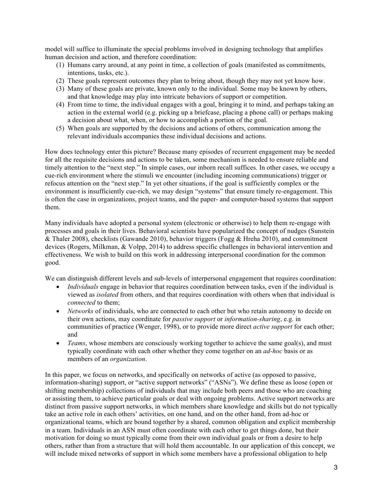model will suffice to illuminate the special problems involved in designing technology that amplifies human decision and action, and therefore coordination:

- (1) Humans carry around, at any point in time, a collection of goals (manifested as commitments, intentions, tasks, etc.).
- (2) These goals represent outcomes they plan to bring about, though they may not yet know how.
- (3) Many of these goals are private, known only to the individual. Some may be known by others, and that knowledge may play into intricate behaviors of support or competition.
- (4) From time to time, the individual engages with a goal, bringing it to mind, and perhaps taking an action in the external world (e.g. picking up a briefcase, placing a phone call) or perhaps making a decision about what, when, or how to accomplish a portion of the goal.
- (5) When goals are supported by the decisions and actions of others, communication among the relevant individuals accompanies these individual decisions and actions.

How does technology enter this picture? Because many episodes of recurrent engagement may be needed for all the requisite decisions and actions to be taken, some mechanism is needed to ensure reliable and timely attention to the "next step." In simple cases, our inborn recall suffices. In other cases, we occupy a cue-rich environment where the stimuli we encounter (including incoming communications) trigger or refocus attention on the "next step." In yet other situations, if the goal is sufficiently complex or the environment is insufficiently cue-rich, we may design "systems" that ensure timely re-engagement. This is often the case in organizations, project teams, and the paper- and computer-based systems that support them.

Many individuals have adopted a personal system (electronic or otherwise) to help them re-engage with processes and goals in their lives. Behavioral scientists have popularized the concept of nudges (Sunstein & Thaler 2008), checklists (Gawande 2010), behavior triggers (Fogg & Hreha 2010), and commitment devices (Rogers, Milkman, & Volpp, 2014) to address specific challenges in behavioral intervention and effectiveness. We wish to build on this work in addressing interpersonal coordination for the common good.

We can distinguish different levels and sub-levels of interpersonal engagement that requires coordination:

- *Individuals* engage in behavior that requires coordination between tasks, even if the individual is viewed as *isolated* from others, and that requires coordination with others when that individual is *connected* to them;
- *Networks* of individuals, who are connected to each other but who retain autonomy to decide on their own actions, may coordinate for *passive support* or *information-sharing*, e.g. in communities of practice (Wenger, 1998), or to provide more direct *active support* for each other; and
- *Teams*, whose members are consciously working together to achieve the same goal(s), and must typically coordinate with each other whether they come together on an *ad-hoc* basis or as members of an *organization*.

In this paper, we focus on networks, and specifically on networks of active (as opposed to passive, information-sharing) support, or "active support networks" ("ASNs"). We define these as loose (open or shifting membership) collections of individuals that may include both peers and those who are coaching or assisting them, to achieve particular goals or deal with ongoing problems. Active support networks are distinct from passive support networks, in which members share knowledge and skills but do not typically take an active role in each others' activities, on one hand, and on the other hand, from ad-hoc or organizational teams, which are bound together by a shared, common obligation and explicit membership in a team. Individuals in an ASN must often coordinate with each other to get things done, but their motivation for doing so must typically come from their own individual goals or from a desire to help others, rather than from a structure that will hold them accountable. In our application of this concept, we will include mixed networks of support in which some members have a professional obligation to help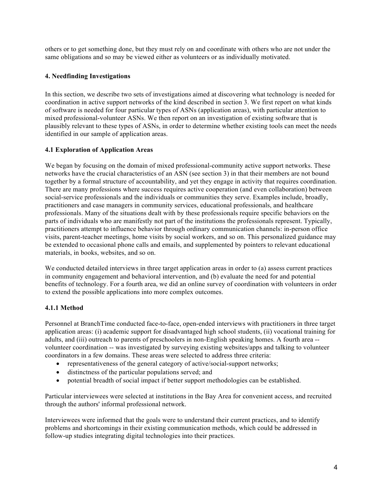others or to get something done, but they must rely on and coordinate with others who are not under the same obligations and so may be viewed either as volunteers or as individually motivated.

## **4. Needfinding Investigations**

In this section, we describe two sets of investigations aimed at discovering what technology is needed for coordination in active support networks of the kind described in section 3. We first report on what kinds of software is needed for four particular types of ASNs (application areas), with particular attention to mixed professional-volunteer ASNs. We then report on an investigation of existing software that is plausibly relevant to these types of ASNs, in order to determine whether existing tools can meet the needs identified in our sample of application areas.

## **4.1 Exploration of Application Areas**

We began by focusing on the domain of mixed professional-community active support networks. These networks have the crucial characteristics of an ASN (see section 3) in that their members are not bound together by a formal structure of accountability, and yet they engage in activity that requires coordination. There are many professions where success requires active cooperation (and even collaboration) between social-service professionals and the individuals or communities they serve. Examples include, broadly, practitioners and case managers in community services, educational professionals, and healthcare professionals. Many of the situations dealt with by these professionals require specific behaviors on the parts of individuals who are manifestly not part of the institutions the professionals represent. Typically, practitioners attempt to influence behavior through ordinary communication channels: in-person office visits, parent-teacher meetings, home visits by social workers, and so on. This personalized guidance may be extended to occasional phone calls and emails, and supplemented by pointers to relevant educational materials, in books, websites, and so on.

We conducted detailed interviews in three target application areas in order to (a) assess current practices in community engagement and behavioral intervention, and (b) evaluate the need for and potential benefits of technology. For a fourth area, we did an online survey of coordination with volunteers in order to extend the possible applications into more complex outcomes.

# **4.1.1 Method**

Personnel at BranchTime conducted face-to-face, open-ended interviews with practitioners in three target application areas: (i) academic support for disadvantaged high school students, (ii) vocational training for adults, and (iii) outreach to parents of preschoolers in non-English speaking homes. A fourth area - volunteer coordination -- was investigated by surveying existing websites/apps and talking to volunteer coordinators in a few domains. These areas were selected to address three criteria:

- representativeness of the general category of active/social-support networks;
- distinctness of the particular populations served; and
- potential breadth of social impact if better support methodologies can be established.

Particular interviewees were selected at institutions in the Bay Area for convenient access, and recruited through the authors' informal professional network.

Interviewees were informed that the goals were to understand their current practices, and to identify problems and shortcomings in their existing communication methods, which could be addressed in follow-up studies integrating digital technologies into their practices.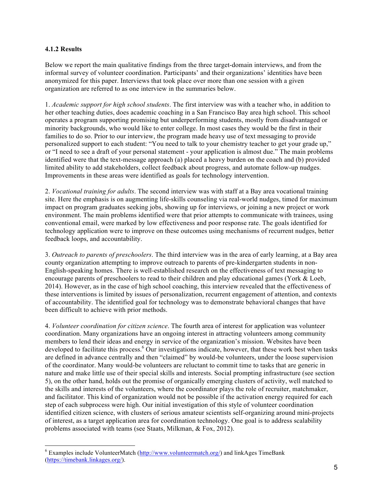#### **4.1.2 Results**

Below we report the main qualitative findings from the three target-domain interviews, and from the informal survey of volunteer coordination. Participants' and their organizations' identities have been anonymized for this paper. Interviews that took place over more than one session with a given organization are referred to as one interview in the summaries below.

1. *Academic support for high school students*. The first interview was with a teacher who, in addition to her other teaching duties, does academic coaching in a San Francisco Bay area high school. This school operates a program supporting promising but underperforming students, mostly from disadvantaged or minority backgrounds, who would like to enter college. In most cases they would be the first in their families to do so. Prior to our interview, the program made heavy use of text messaging to provide personalized support to each student: "You need to talk to your chemistry teacher to get your grade up," or "I need to see a draft of your personal statement - your application is almost due." The main problems identified were that the text-message approach (a) placed a heavy burden on the coach and (b) provided limited ability to add stakeholders, collect feedback about progress, and automate follow-up nudges. Improvements in these areas were identified as goals for technology intervention.

2. *Vocational training for adults*. The second interview was with staff at a Bay area vocational training site. Here the emphasis is on augmenting life-skills counseling via real-world nudges, timed for maximum impact on program graduates seeking jobs, showing up for interviews, or joining a new project or work environment. The main problems identified were that prior attempts to communicate with trainees, using conventional email, were marked by low effectiveness and poor response rate. The goals identified for technology application were to improve on these outcomes using mechanisms of recurrent nudges, better feedback loops, and accountability.

3. *Outreach to parents of preschoolers*. The third interview was in the area of early learning, at a Bay area county organization attempting to improve outreach to parents of pre-kindergarten students in non-English-speaking homes. There is well-established research on the effectiveness of text messaging to encourage parents of preschoolers to read to their children and play educational games (York & Loeb, 2014). However, as in the case of high school coaching, this interview revealed that the effectiveness of these interventions is limited by issues of personalization, recurrent engagement of attention, and contexts of accountability. The identified goal for technology was to demonstrate behavioral changes that have been difficult to achieve with prior methods.

4. *Volunteer coordination for citizen science*. The fourth area of interest for application was volunteer coordination. Many organizations have an ongoing interest in attracting volunteers among community members to lend their ideas and energy in service of the organization's mission. Websites have been developed to facilitate this process. <sup>6</sup>Our investigations indicate, however, that these work best when tasks are defined in advance centrally and then "claimed" by would-be volunteers, under the loose supervision of the coordinator. Many would-be volunteers are reluctant to commit time to tasks that are generic in nature and make little use of their special skills and interests. Social prompting infrastructure (see section 5), on the other hand, holds out the promise of organically emerging clusters of activity, well matched to the skills and interests of the volunteers, where the coordinator plays the role of recruiter, matchmaker, and facilitator. This kind of organization would not be possible if the activation energy required for each step of each subprocess were high. Our initial investigation of this style of volunteer coordination identified citizen science, with clusters of serious amateur scientists self-organizing around mini-projects of interest, as a target application area for coordination technology. One goal is to address scalability problems associated with teams (see Staats, Milkman, & Fox, 2012).

 $6$  Examples include VolunteerMatch (http://www.volunteermatch.org/) and linkAges TimeBank (https://timebank.linkages.org/).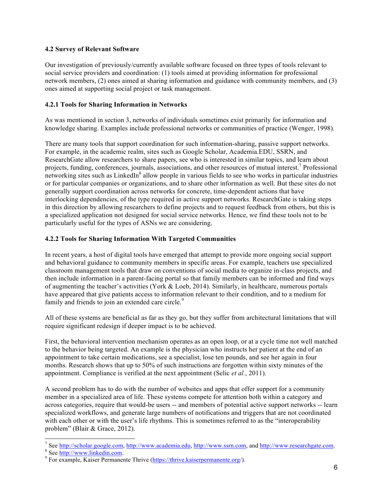#### **4.2 Survey of Relevant Software**

Our investigation of previously/currently available software focused on three types of tools relevant to social service providers and coordination: (1) tools aimed at providing information for professional network members, (2) ones aimed at sharing information and guidance with community members, and (3) ones aimed at supporting social project or task management.

## **4.2.1 Tools for Sharing Information in Networks**

As was mentioned in section 3, networks of individuals sometimes exist primarily for information and knowledge sharing. Examples include professional networks or communities of practice (Wenger, 1998).

There are many tools that support coordination for such information-sharing, passive support networks. For example, in the academic realm, sites such as Google Scholar, Academia.EDU, SSRN, and ResearchGate allow researchers to share papers, see who is interested in similar topics, and learn about projects, funding, conferences, journals, associations, and other resources of mutual interest.<sup>7</sup> Professional networking sites such as LinkedIn<sup>8</sup> allow people in various fields to see who works in particular industries or for particular companies or organizations, and to share other information as well. But these sites do not generally support coordination across networks for concrete, time-dependent actions that have interlocking dependencies, of the type required in active support networks. ResearchGate is taking steps in this direction by allowing researchers to define projects and to request feedback from others, but this is a specialized application not designed for social service networks. Hence, we find these tools not to be particularly useful for the types of ASNs we are considering.

## **4.2.2 Tools for Sharing Information With Targeted Communities**

In recent years, a host of digital tools have emerged that attempt to provide more ongoing social support and behavioral guidance to community members in specific areas. For example, teachers use specialized classroom management tools that draw on conventions of social media to organize in-class projects, and then include information in a parent-facing portal so that family members can be informed and find ways of augmenting the teacher's activities (York & Loeb, 2014). Similarly, in healthcare, numerous portals have appeared that give patients access to information relevant to their condition, and to a medium for family and friends to join an extended care circle.<sup>9</sup>

All of these systems are beneficial as far as they go, but they suffer from architectural limitations that will require significant redesign if deeper impact is to be achieved.

First, the behavioral intervention mechanism operates as an open loop, or at a cycle time not well matched to the behavior being targeted. An example is the physician who instructs her patient at the end of an appointment to take certain medications, see a specialist, lose ten pounds, and see her again in four months. Research shows that up to 50% of such instructions are forgotten within sixty minutes of the appointment. Compliance is verified at the next appointment (Selic *et al.*, 2011).

A second problem has to do with the number of websites and apps that offer support for a community member in a specialized area of life. These systems compete for attention both within a category and across categories, require that would-be users -- and members of potential active support networks -- learn specialized workflows, and generate large numbers of notifications and triggers that are not coordinated with each other or with the user's life rhythms. This is sometimes referred to as the "interoperability" problem" (Blair & Grace, 2012).

<sup>&</sup>lt;sup>7</sup> See <u>http://scholar.google.com, http://www.academia.edu, http://www.ssrn.com, and http://www.researchgate.com. 8 See http://www.linkedin.com. 9 For example, Kaiser Permanente Thrive (https://thrive.kaiserpermanente.or</u>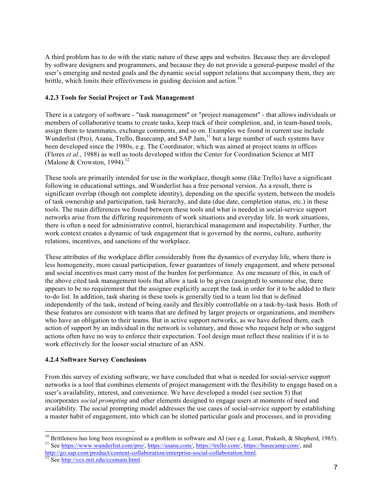A third problem has to do with the static nature of these apps and websites. Because they are developed by software designers and programmers, and because they do not provide a general-purpose model of the user's emerging and nested goals and the dynamic social support relations that accompany them, they are brittle, which limits their effectiveness in guiding decision and action.<sup>10</sup>

## **4.2.3 Tools for Social Project or Task Management**

There is a category of software - "task management" or "project management" - that allows individuals or members of collaborative teams to create tasks, keep track of their completion, and, in team-based tools, assign them to teammates, exchange comments, and so on. Examples we found in current use include Wunderlist (Pro), Asana, Trello, Basecamp, and SAP Jam,<sup>11</sup> but a large number of such systems have been developed since the 1980s, e.g. The Coordinator, which was aimed at project teams in offices (Flores *et al.*, 1988) as well as tools developed within the Center for Coordination Science at MIT (Malone & Crowston, 1994).<sup>12</sup>

These tools are primarily intended for use in the workplace, though some (like Trello) have a significant following in educational settings, and Wunderlist has a free personal version. As a result, there is significant overlap (though not complete identity), depending on the specific system, between the models of task ownership and participation, task hierarchy, and data (due date, completion status, etc.) in these tools. The main differences we found between these tools and what is needed in social-service support networks arise from the differing requirements of work situations and everyday life. In work situations, there is often a need for administrative control, hierarchical management and inspectability. Further, the work context creates a dynamic of task engagement that is governed by the norms, culture, authority relations, incentives, and sanctions of the workplace.

These attributes of the workplace differ considerably from the dynamics of everyday life, where there is less homogeneity, more casual participation, fewer guarantees of timely engagement, and where personal and social incentives must carry most of the burden for performance. As one measure of this, in each of the above cited task management tools that allow a task to be given (assigned) to someone else, there appears to be no requirement that the assignee explicitly accept the task in order for it to be added to their to-do list. In addition, task sharing in these tools is generally tied to a team list that is defined independently of the task, instead of being easily and flexibly controllable on a task-by-task basis. Both of these features are consistent with teams that are defined by larger projects or organizations, and members who have an obligation to their teams. But in active support networks, as we have defined them, each action of support by an individual in the network is voluntary, and those who request help or who suggest actions often have no way to enforce their expectation. Tool design must reflect these realities if it is to work effectively for the looser social structure of an ASN.

## **4.2.4 Software Survey Conclusions**

From this survey of existing software, we have concluded that what is needed for social-service support networks is a tool that combines elements of project management with the flexibility to engage based on a user's availability, interest, and convenience. We have developed a model (see section 5) that incorporates *social prompting* and other elements designed to engage users at moments of need and availability. The social prompting model addresses the use cases of social-service support by establishing a master habit of engagement, into which can be slotted particular goals and processes, and in providing

<sup>&</sup>lt;sup>10</sup> Brittleness has long been recognized as a problem in software and AI (see e.g. Lenat, Prakash, & Shepherd, 1985).<br><sup>11</sup> See https://www.wunderlist.com/pro/, https://asana.com/, https://trello.com/, https://basecamp.co

http://go.sap.com/product/content-collaboration/enterprise-social-collaboration.html.<br>
<sup>12</sup> See http://ccs.mit.edu/ccsmain.html.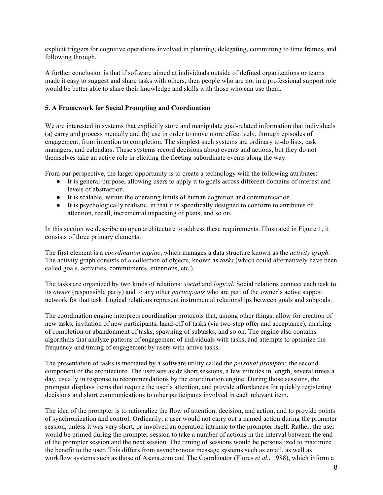explicit triggers for cognitive operations involved in planning, delegating, committing to time frames, and following through.

A further conclusion is that if software aimed at individuals outside of defined organizations or teams made it easy to suggest and share tasks with others, then people who are not in a professional support role would be better able to share their knowledge and skills with those who can use them.

#### **5. A Framework for Social Prompting and Coordination**

We are interested in systems that explicitly store and manipulate goal-related information that individuals (a) carry and process mentally and (b) use in order to move more effectively, through episodes of engagement, from intention to completion. The simplest such systems are ordinary to-do lists, task managers, and calendars. These systems record decisions about events and actions, but they do not themselves take an active role in eliciting the fleeting subordinate events along the way.

From our perspective, the larger opportunity is to create a technology with the following attributes:

- It is general-purpose, allowing users to apply it to goals across different domains of interest and levels of abstraction.
- It is scalable, within the operating limits of human cognition and communication.
- It is psychologically realistic, in that it is specifically designed to conform to attributes of attention, recall, incremental unpacking of plans, and so on.

In this section we describe an open architecture to address these requirements. Illustrated in Figure 1, it consists of three primary elements.

The first element is a *coordination engine*, which manages a data structure known as the *activity graph*. The activity graph consists of a collection of objects, known as *tasks* (which could alternatively have been called goals, activities, commitments, intentions, etc.).

The tasks are organized by two kinds of relations: *social* and *logical*. Social relations connect each task to its *owner* (responsible party) and to any other *participants* who are part of the owner's active support network for that task. Logical relations represent instrumental relationships between goals and subgoals.

The coordination engine interprets coordination protocols that, among other things, allow for creation of new tasks, invitation of new participants, hand-off of tasks (via two-step offer and acceptance), marking of completion or abandonment of tasks, spawning of subtasks, and so on. The engine also contains algorithms that analyze patterns of engagement of individuals with tasks, and attempts to optimize the frequency and timing of engagement by users with active tasks.

The presentation of tasks is mediated by a software utility called the *personal prompter*, the second component of the architecture. The user sets aside short sessions, a few minutes in length, several times a day, usually in response to recommendations by the coordination engine. During those sessions, the prompter displays items that require the user's attention, and provide affordances for quickly registering decisions and short communications to other participants involved in each relevant item.

The idea of the prompter is to rationalize the flow of attention, decision, and action, and to provide points of synchronization and control. Ordinarily, a user would not carry out a named action during the prompter session, unless it was very short, or involved an operation intrinsic to the prompter itself. Rather, the user would be primed during the prompter session to take a number of actions in the interval between the end of the prompter session and the next session. The timing of sessions would be personalized to maximize the benefit to the user. This differs from asynchronous message systems such as email, as well as workflow systems such as those of Asana.com and The Coordinator (Flores *et al.*, 1988), which inform a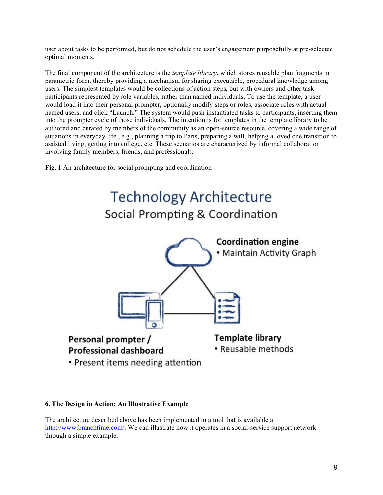user about tasks to be performed, but do not schedule the user's engagement purposefully at pre-selected optimal moments.

The final component of the architecture is the *template library*, which stores reusable plan fragments in parametric form, thereby providing a mechanism for sharing executable, procedural knowledge among users. The simplest templates would be collections of action steps, but with owners and other task participants represented by role variables, rather than named individuals. To use the template, a user would load it into their personal prompter, optionally modify steps or roles, associate roles with actual named users, and click "Launch." The system would push instantiated tasks to participants, inserting them into the prompter cycle of those individuals. The intention is for templates in the template library to be authored and curated by members of the community as an open-source resource, covering a wide range of situations in everyday life., e.g., planning a trip to Paris, preparing a will, helping a loved one transition to assisted living, getting into college, etc. These scenarios are characterized by informal collaboration involving family members, friends, and professionals.

**Fig. 1** An architecture for social prompting and coordination





# **6. The Design in Action: An Illustrative Example**

The architecture described above has been implemented in a tool that is available at http://www.branchtime.com/. We can illustrate how it operates in a social-service support network through a simple example.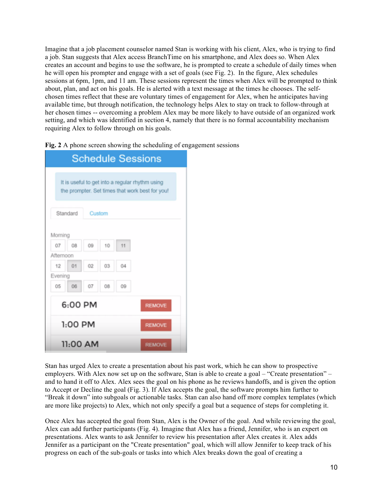Imagine that a job placement counselor named Stan is working with his client, Alex, who is trying to find a job. Stan suggests that Alex access BranchTime on his smartphone, and Alex does so. When Alex creates an account and begins to use the software, he is prompted to create a schedule of daily times when he will open his prompter and engage with a set of goals (see Fig. 2). In the figure, Alex schedules sessions at 6pm, 1pm, and 11 am. These sessions represent the times when Alex will be prompted to think about, plan, and act on his goals. He is alerted with a text message at the times he chooses. The selfchosen times reflect that these are voluntary times of engagement for Alex, when he anticipates having available time, but through notification, the technology helps Alex to stay on track to follow-through at her chosen times -- overcoming a problem Alex may be more likely to have outside of an organized work setting, and which was identified in section 4, namely that there is no formal accountability mechanism requiring Alex to follow through on his goals.

**Fig. 2** A phone screen showing the scheduling of engagement sessions

|           | <b>Schedule Sessions</b>                                                                           |               |        |    |               |  |  |  |
|-----------|----------------------------------------------------------------------------------------------------|---------------|--------|----|---------------|--|--|--|
|           | It is useful to get into a regular rhythm using<br>the prompter. Set times that work best for you! |               |        |    |               |  |  |  |
|           | Standard                                                                                           |               | Custom |    |               |  |  |  |
| Morning   |                                                                                                    |               |        |    |               |  |  |  |
| 07        | <b>OR</b>                                                                                          | 09            | 10     | 11 |               |  |  |  |
| Afternoon |                                                                                                    |               |        |    |               |  |  |  |
| 12        | 01                                                                                                 | 02            | 03     | 04 |               |  |  |  |
| Evening   |                                                                                                    |               |        |    |               |  |  |  |
| 05        | O <sub>B</sub>                                                                                     | 07            | 08     | 09 |               |  |  |  |
|           | 6:00 PM                                                                                            |               |        |    | <b>REMOVE</b> |  |  |  |
|           | 1:00 PM<br><b>REMOVE</b>                                                                           |               |        |    |               |  |  |  |
|           | 11:00 AM                                                                                           | <b>REMOVE</b> |        |    |               |  |  |  |

Stan has urged Alex to create a presentation about his past work, which he can show to prospective employers. With Alex now set up on the software, Stan is able to create a goal – "Create presentation" – and to hand it off to Alex. Alex sees the goal on his phone as he reviews handoffs, and is given the option to Accept or Decline the goal (Fig. 3). If Alex accepts the goal, the software prompts him further to "Break it down" into subgoals or actionable tasks. Stan can also hand off more complex templates (which are more like projects) to Alex, which not only specify a goal but a sequence of steps for completing it.

Once Alex has accepted the goal from Stan, Alex is the Owner of the goal. And while reviewing the goal, Alex can add further participants (Fig. 4). Imagine that Alex has a friend, Jennifer, who is an expert on presentations. Alex wants to ask Jennifer to review his presentation after Alex creates it. Alex adds Jennifer as a participant on the "Create presentation" goal, which will allow Jennifer to keep track of his progress on each of the sub-goals or tasks into which Alex breaks down the goal of creating a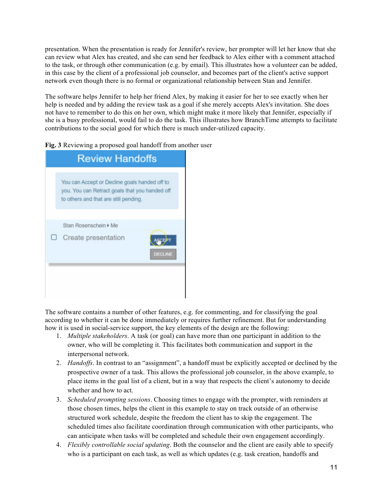presentation. When the presentation is ready for Jennifer's review, her prompter will let her know that she can review what Alex has created, and she can send her feedback to Alex either with a comment attached to the task, or through other communication (e.g. by email). This illustrates how a volunteer can be added, in this case by the client of a professional job counselor, and becomes part of the client's active support network even though there is no formal or organizational relationship between Stan and Jennifer.

The software helps Jennifer to help her friend Alex, by making it easier for her to see exactly when her help is needed and by adding the review task as a goal if she merely accepts Alex's invitation. She does not have to remember to do this on her own, which might make it more likely that Jennifer, especially if she is a busy professional, would fail to do the task. This illustrates how BranchTime attempts to facilitate contributions to the social good for which there is much under-utilized capacity.

**Fig. 3** Reviewing a proposed goal handoff from another user

| You can Accept or Decline goals handed off to<br>you. You can Retract goals that you handed off<br>to others and that are still pending. |
|------------------------------------------------------------------------------------------------------------------------------------------|
| Stan Rosenschein » Me<br>Create presentation<br>DECLINE                                                                                  |
|                                                                                                                                          |

The software contains a number of other features, e.g. for commenting, and for classifying the goal according to whether it can be done immediately or requires further refinement. But for understanding how it is used in social-service support, the key elements of the design are the following:

- 1. *Multiple stakeholders*. A task (or goal) can have more than one participant in addition to the owner, who will be completing it. This facilitates both communication and support in the interpersonal network.
- 2. *Handoffs*. In contrast to an "assignment", a handoff must be explicitly accepted or declined by the prospective owner of a task. This allows the professional job counselor, in the above example, to place items in the goal list of a client, but in a way that respects the client's autonomy to decide whether and how to act.
- 3. *Scheduled prompting sessions*. Choosing times to engage with the prompter, with reminders at those chosen times, helps the client in this example to stay on track outside of an otherwise structured work schedule, despite the freedom the client has to skip the engagement. The scheduled times also facilitate coordination through communication with other participants, who can anticipate when tasks will be completed and schedule their own engagement accordingly.
- 4. *Flexibly controllable social updating*. Both the counselor and the client are easily able to specify who is a participant on each task, as well as which updates (e.g. task creation, handoffs and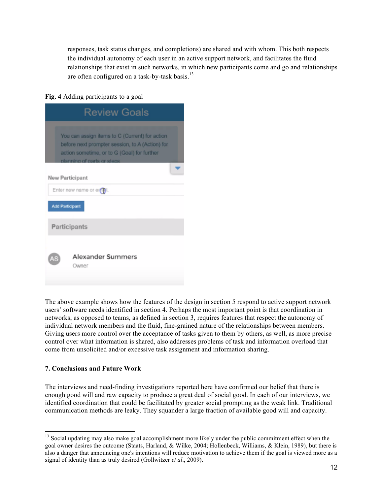responses, task status changes, and completions) are shared and with whom. This both respects the individual autonomy of each user in an active support network, and facilitates the fluid relationships that exist in such networks, in which new participants come and go and relationships are often configured on a task-by-task basis.<sup>13</sup>

**Fig. 4** Adding participants to a goal

| <b>Review Goals</b>                                                                                                                                                            |  |  |  |  |  |
|--------------------------------------------------------------------------------------------------------------------------------------------------------------------------------|--|--|--|--|--|
| You can assign items to C (Current) for action<br>before next prompter session, to A (Action) for<br>action sometime, or to G (Goal) for further<br>nlanning of parts or steps |  |  |  |  |  |
| New Participant                                                                                                                                                                |  |  |  |  |  |
| Enter new name or entity.                                                                                                                                                      |  |  |  |  |  |
| Add Participant                                                                                                                                                                |  |  |  |  |  |
| Participants                                                                                                                                                                   |  |  |  |  |  |
| Alexander Summers<br>Owner                                                                                                                                                     |  |  |  |  |  |

The above example shows how the features of the design in section 5 respond to active support network users' software needs identified in section 4. Perhaps the most important point is that coordination in networks, as opposed to teams, as defined in section 3, requires features that respect the autonomy of individual network members and the fluid, fine-grained nature of the relationships between members. Giving users more control over the acceptance of tasks given to them by others, as well, as more precise control over what information is shared, also addresses problems of task and information overload that come from unsolicited and/or excessive task assignment and information sharing.

#### **7. Conclusions and Future Work**

The interviews and need-finding investigations reported here have confirmed our belief that there is enough good will and raw capacity to produce a great deal of social good. In each of our interviews, we identified coordination that could be facilitated by greater social prompting as the weak link. Traditional communication methods are leaky. They squander a large fraction of available good will and capacity.

<sup>&</sup>lt;sup>13</sup> Social updating may also make goal accomplishment more likely under the public commitment effect when the goal owner desires the outcome (Staats, Harland, & Wilke, 2004; Hollenbeck, Williams, & Klein, 1989), but there is also a danger that announcing one's intentions will reduce motivation to achieve them if the goal is viewed more as a signal of identity than as truly desired (Gollwitzer *et al*., 2009).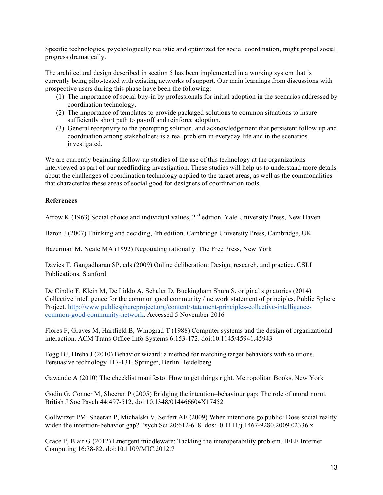Specific technologies, psychologically realistic and optimized for social coordination, might propel social progress dramatically.

The architectural design described in section 5 has been implemented in a working system that is currently being pilot-tested with existing networks of support. Our main learnings from discussions with prospective users during this phase have been the following:

- (1) The importance of social buy-in by professionals for initial adoption in the scenarios addressed by coordination technology.
- (2) The importance of templates to provide packaged solutions to common situations to insure sufficiently short path to payoff and reinforce adoption.
- (3) General receptivity to the prompting solution, and acknowledgement that persistent follow up and coordination among stakeholders is a real problem in everyday life and in the scenarios investigated.

We are currently beginning follow-up studies of the use of this technology at the organizations interviewed as part of our needfinding investigation. These studies will help us to understand more details about the challenges of coordination technology applied to the target areas, as well as the commonalities that characterize these areas of social good for designers of coordination tools.

#### **References**

Arrow K (1963) Social choice and individual values,  $2<sup>nd</sup>$  edition. Yale University Press, New Haven

Baron J (2007) Thinking and deciding, 4th edition. Cambridge University Press, Cambridge, UK

Bazerman M, Neale MA (1992) Negotiating rationally. The Free Press, New York

Davies T, Gangadharan SP, eds (2009) Online deliberation: Design, research, and practice. CSLI Publications, Stanford

De Cindio F, Klein M, De Liddo A, Schuler D, Buckingham Shum S, original signatories (2014) Collective intelligence for the common good community / network statement of principles. Public Sphere Project. http://www.publicsphereproject.org/content/statement-principles-collective-intelligencecommon-good-community-network. Accessed 5 November 2016

Flores F, Graves M, Hartfield B, Winograd T (1988) Computer systems and the design of organizational interaction. ACM Trans Office Info Systems 6:153-172. doi:10.1145/45941.45943

Fogg BJ, Hreha J (2010) Behavior wizard: a method for matching target behaviors with solutions. Persuasive technology 117-131. Springer, Berlin Heidelberg

Gawande A (2010) The checklist manifesto: How to get things right. Metropolitan Books, New York

Godin G, Conner M, Sheeran P (2005) Bridging the intention–behaviour gap: The role of moral norm. British J Soc Psych 44:497-512. doi:10.1348/014466604X17452

Gollwitzer PM, Sheeran P, Michalski V, Seifert AE (2009) When intentions go public: Does social reality widen the intention-behavior gap? Psych Sci 20:612-618. dos:10.1111/j.1467-9280.2009.02336.x

Grace P, Blair G (2012) Emergent middleware: Tackling the interoperability problem. IEEE Internet Computing 16:78-82. doi:10.1109/MIC.2012.7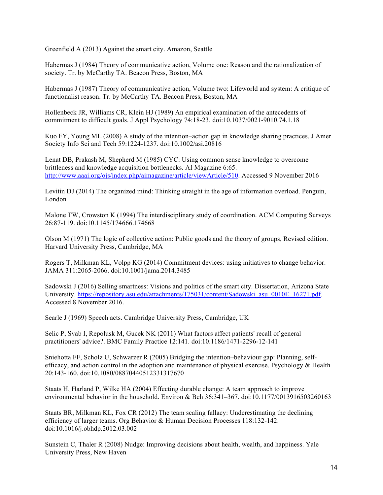Greenfield A (2013) Against the smart city. Amazon, Seattle

Habermas J (1984) Theory of communicative action, Volume one: Reason and the rationalization of society. Tr. by McCarthy TA. Beacon Press, Boston, MA

Habermas J (1987) Theory of communicative action, Volume two: Lifeworld and system: A critique of functionalist reason. Tr. by McCarthy TA. Beacon Press, Boston, MA

Hollenbeck JR, Williams CR, Klein HJ (1989) An empirical examination of the antecedents of commitment to difficult goals. J Appl Psychology 74:18-23. doi:10.1037/0021-9010.74.1.18

Kuo FY, Young ML (2008) A study of the intention–action gap in knowledge sharing practices. J Amer Society Info Sci and Tech 59:1224-1237. doi:10.1002/asi.20816

Lenat DB, Prakash M, Shepherd M (1985) CYC: Using common sense knowledge to overcome brittleness and knowledge acquisition bottlenecks. AI Magazine 6:65. http://www.aaai.org/ojs/index.php/aimagazine/article/viewArticle/510. Accessed 9 November 2016

Levitin DJ (2014) The organized mind: Thinking straight in the age of information overload. Penguin, London

Malone TW, Crowston K (1994) The interdisciplinary study of coordination. ACM Computing Surveys 26:87-119. doi:10.1145/174666.174668

Olson M (1971) The logic of collective action: Public goods and the theory of groups, Revised edition. Harvard University Press, Cambridge, MA

Rogers T, Milkman KL, Volpp KG (2014) Commitment devices: using initiatives to change behavior. JAMA 311:2065-2066. doi:10.1001/jama.2014.3485

Sadowski J (2016) Selling smartness: Visions and politics of the smart city. Dissertation, Arizona State University. https://repository.asu.edu/attachments/175031/content/Sadowski\_asu\_0010E\_16271.pdf. Accessed 8 November 2016.

Searle J (1969) Speech acts. Cambridge University Press, Cambridge, UK

Selic P, Svab I, Repolusk M, Gucek NK (2011) What factors affect patients' recall of general practitioners' advice?. BMC Family Practice 12:141. doi:10.1186/1471-2296-12-141

Sniehotta FF, Scholz U, Schwarzer R (2005) Bridging the intention–behaviour gap: Planning, selfefficacy, and action control in the adoption and maintenance of physical exercise. Psychology & Health 20:143-160. doi:10.1080/08870440512331317670

Staats H, Harland P, Wilke HA (2004) Effecting durable change: A team approach to improve environmental behavior in the household. Environ & Beh 36:341–367. doi:10.1177/0013916503260163

Staats BR, Milkman KL, Fox CR (2012) The team scaling fallacy: Underestimating the declining efficiency of larger teams. Org Behavior & Human Decision Processes 118:132-142. doi:10.1016/j.obhdp.2012.03.002

Sunstein C, Thaler R (2008) Nudge: Improving decisions about health, wealth, and happiness. Yale University Press, New Haven